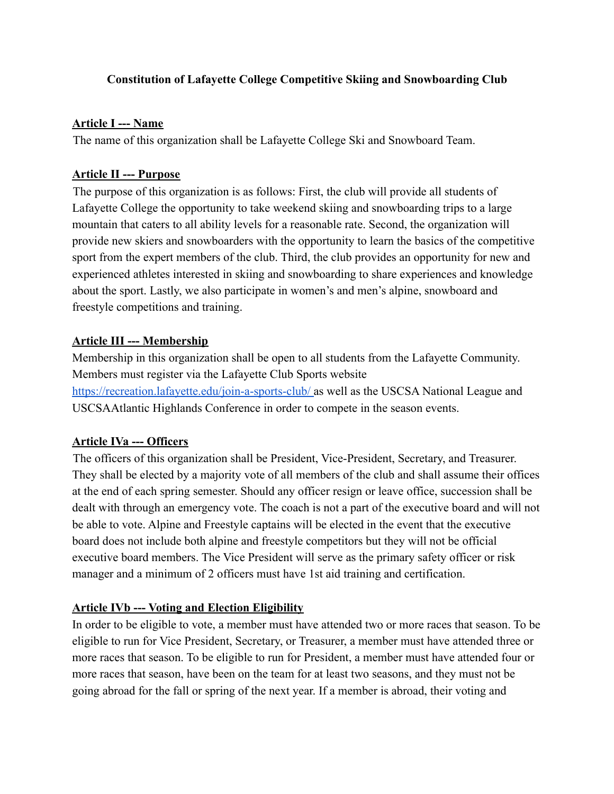## **Constitution of Lafayette College Competitive Skiing and Snowboarding Club**

#### **Article I --- Name**

The name of this organization shall be Lafayette College Ski and Snowboard Team.

#### **Article II --- Purpose**

The purpose of this organization is as follows: First, the club will provide all students of Lafayette College the opportunity to take weekend skiing and snowboarding trips to a large mountain that caters to all ability levels for a reasonable rate. Second, the organization will provide new skiers and snowboarders with the opportunity to learn the basics of the competitive sport from the expert members of the club. Third, the club provides an opportunity for new and experienced athletes interested in skiing and snowboarding to share experiences and knowledge about the sport. Lastly, we also participate in women's and men's alpine, snowboard and freestyle competitions and training.

## **Article III --- Membership**

Membership in this organization shall be open to all students from the Lafayette Community. Members must register via the Lafayette Club Sports website https://recreation.lafayette.edu/join-a-sports-club/ as well as the USCSA National League and USCSAAtlantic Highlands Conference in order to compete in the season events.

#### **Article IVa --- Officers**

The officers of this organization shall be President, Vice-President, Secretary, and Treasurer. They shall be elected by a majority vote of all members of the club and shall assume their offices at the end of each spring semester. Should any officer resign or leave office, succession shall be dealt with through an emergency vote. The coach is not a part of the executive board and will not be able to vote. Alpine and Freestyle captains will be elected in the event that the executive board does not include both alpine and freestyle competitors but they will not be official executive board members. The Vice President will serve as the primary safety officer or risk manager and a minimum of 2 officers must have 1st aid training and certification.

# **Article IVb --- Voting and Election Eligibility**

In order to be eligible to vote, a member must have attended two or more races that season. To be eligible to run for Vice President, Secretary, or Treasurer, a member must have attended three or more races that season. To be eligible to run for President, a member must have attended four or more races that season, have been on the team for at least two seasons, and they must not be going abroad for the fall or spring of the next year. If a member is abroad, their voting and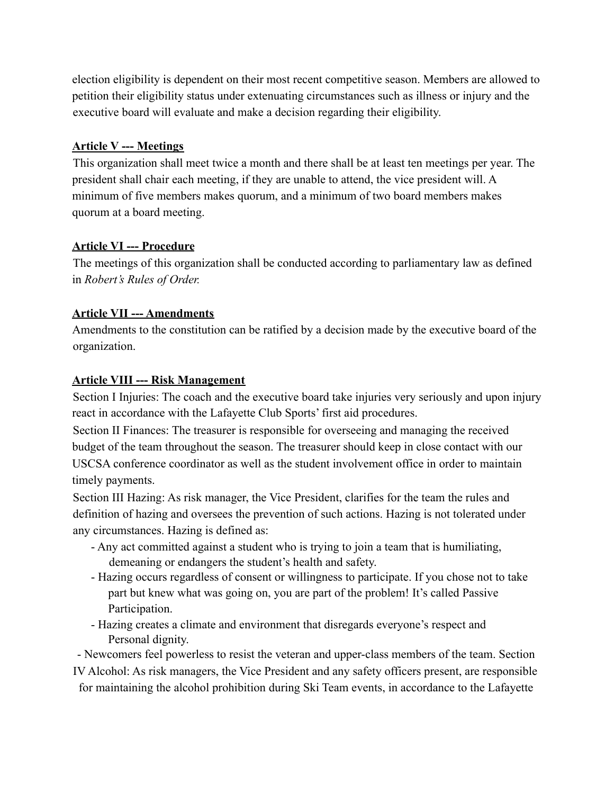election eligibility is dependent on their most recent competitive season. Members are allowed to petition their eligibility status under extenuating circumstances such as illness or injury and the executive board will evaluate and make a decision regarding their eligibility.

## **Article V --- Meetings**

This organization shall meet twice a month and there shall be at least ten meetings per year. The president shall chair each meeting, if they are unable to attend, the vice president will. A minimum of five members makes quorum, and a minimum of two board members makes quorum at a board meeting.

## **Article VI --- Procedure**

The meetings of this organization shall be conducted according to parliamentary law as defined in *Robert's Rules of Order.*

## **Article VII --- Amendments**

Amendments to the constitution can be ratified by a decision made by the executive board of the organization.

## **Article VIII --- Risk Management**

Section I Injuries: The coach and the executive board take injuries very seriously and upon injury react in accordance with the Lafayette Club Sports' first aid procedures.

Section II Finances: The treasurer is responsible for overseeing and managing the received budget of the team throughout the season. The treasurer should keep in close contact with our USCSA conference coordinator as well as the student involvement office in order to maintain timely payments.

Section III Hazing: As risk manager, the Vice President, clarifies for the team the rules and definition of hazing and oversees the prevention of such actions. Hazing is not tolerated under any circumstances. Hazing is defined as:

- Any act committed against a student who is trying to join a team that is humiliating, demeaning or endangers the student's health and safety.
- Hazing occurs regardless of consent or willingness to participate. If you chose not to take part but knew what was going on, you are part of the problem! It's called Passive Participation.
- Hazing creates a climate and environment that disregards everyone's respect and Personal dignity.

- Newcomers feel powerless to resist the veteran and upper-class members of the team. Section

IV Alcohol: As risk managers, the Vice President and any safety officers present, are responsible for maintaining the alcohol prohibition during Ski Team events, in accordance to the Lafayette